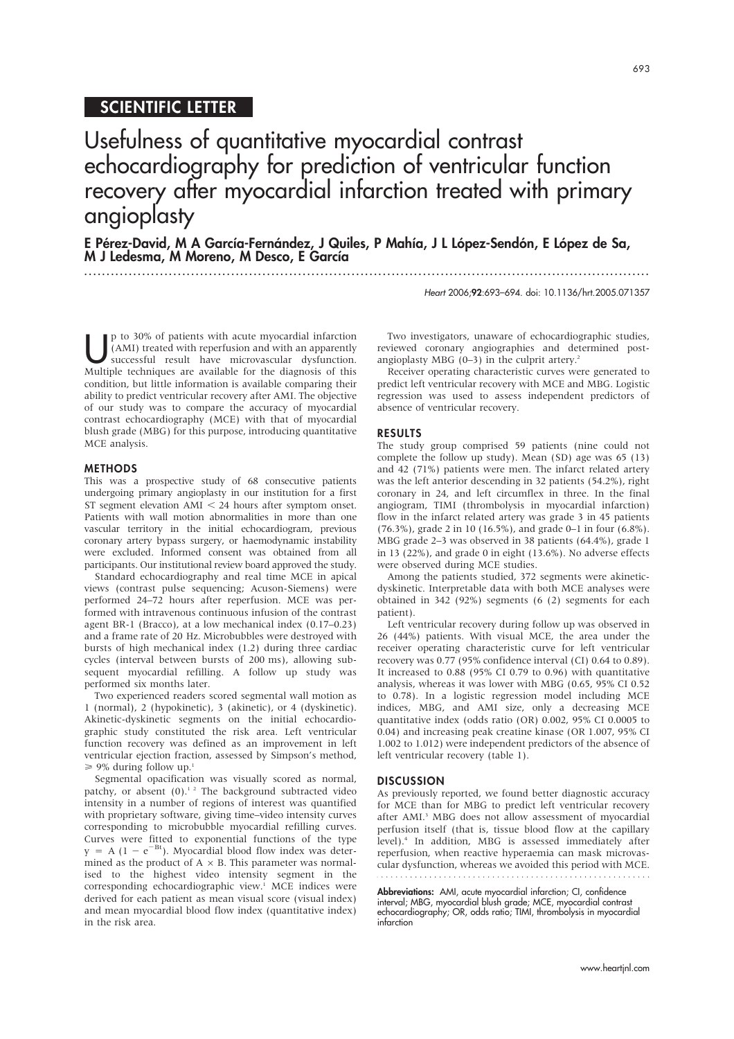## SCIENTIFIC LETTER

Usefulness of quantitative myocardial contrast echocardiography for prediction of ventricular function recovery after myocardial infarction treated with primary angioplasty

E Pérez-David, M A García-Fernández, J Quiles, P Mahía, J L López-Sendón, E López de Sa, M J Ledesma, M Moreno, M Desco, E García ...............................................................................................................................

Heart 2006;92:693–694. doi: 10.1136/hrt.2005.071357

p to 30% of patients with acute myocardial infarction<br>(AMI) treated with reperfusion and with an apparently<br>successful result have microvascular dysfunction. (AMI) treated with reperfusion and with an apparently successful result have microvascular dysfunction. Multiple techniques are available for the diagnosis of this condition, but little information is available comparing their ability to predict ventricular recovery after AMI. The objective of our study was to compare the accuracy of myocardial contrast echocardiography (MCE) with that of myocardial blush grade (MBG) for this purpose, introducing quantitative MCE analysis.

#### **METHODS**

This was a prospective study of 68 consecutive patients undergoing primary angioplasty in our institution for a first ST segment elevation  $AMI < 24$  hours after symptom onset. Patients with wall motion abnormalities in more than one vascular territory in the initial echocardiogram, previous coronary artery bypass surgery, or haemodynamic instability were excluded. Informed consent was obtained from all participants. Our institutional review board approved the study.

Standard echocardiography and real time MCE in apical views (contrast pulse sequencing; Acuson-Siemens) were performed 24–72 hours after reperfusion. MCE was performed with intravenous continuous infusion of the contrast agent BR-1 (Bracco), at a low mechanical index (0.17–0.23) and a frame rate of 20 Hz. Microbubbles were destroyed with bursts of high mechanical index (1.2) during three cardiac cycles (interval between bursts of 200 ms), allowing subsequent myocardial refilling. A follow up study was performed six months later.

Two experienced readers scored segmental wall motion as 1 (normal), 2 (hypokinetic), 3 (akinetic), or 4 (dyskinetic). Akinetic-dyskinetic segments on the initial echocardiographic study constituted the risk area. Left ventricular function recovery was defined as an improvement in left ventricular ejection fraction, assessed by Simpson's method,  $\geq 9\%$  during follow up.<sup>1</sup>

Segmental opacification was visually scored as normal, patchy, or absent  $(0)$ .<sup>12</sup> The background subtracted video intensity in a number of regions of interest was quantified with proprietary software, giving time–video intensity curves corresponding to microbubble myocardial refilling curves. Curves were fitted to exponential functions of the type  $y = A (1 - e^{-Bt})$ . Myocardial blood flow index was determined as the product of  $A \times B$ . This parameter was normalised to the highest video intensity segment in the corresponding echocardiographic view.<sup>1</sup> MCE indices were derived for each patient as mean visual score (visual index) and mean myocardial blood flow index (quantitative index) in the risk area.

Two investigators, unaware of echocardiographic studies, reviewed coronary angiographies and determined postangioplasty MBG  $(0-3)$  in the culprit artery.<sup>2</sup>

Receiver operating characteristic curves were generated to predict left ventricular recovery with MCE and MBG. Logistic regression was used to assess independent predictors of absence of ventricular recovery.

#### **RESULTS**

The study group comprised 59 patients (nine could not complete the follow up study). Mean (SD) age was 65 (13) and 42 (71%) patients were men. The infarct related artery was the left anterior descending in 32 patients (54.2%), right coronary in 24, and left circumflex in three. In the final angiogram, TIMI (thrombolysis in myocardial infarction) flow in the infarct related artery was grade 3 in 45 patients (76.3%), grade 2 in 10 (16.5%), and grade 0–1 in four (6.8%). MBG grade 2–3 was observed in 38 patients (64.4%), grade 1 in 13 (22%), and grade 0 in eight (13.6%). No adverse effects were observed during MCE studies.

Among the patients studied, 372 segments were akineticdyskinetic. Interpretable data with both MCE analyses were obtained in 342 (92%) segments (6 (2) segments for each patient).

Left ventricular recovery during follow up was observed in 26 (44%) patients. With visual MCE, the area under the receiver operating characteristic curve for left ventricular recovery was 0.77 (95% confidence interval (CI) 0.64 to 0.89). It increased to 0.88 (95% CI 0.79 to 0.96) with quantitative analysis, whereas it was lower with MBG (0.65, 95% CI 0.52 to 0.78). In a logistic regression model including MCE indices, MBG, and AMI size, only a decreasing MCE quantitative index (odds ratio (OR) 0.002, 95% CI 0.0005 to 0.04) and increasing peak creatine kinase (OR 1.007, 95% CI 1.002 to 1.012) were independent predictors of the absence of left ventricular recovery (table 1).

#### **DISCUSSION**

As previously reported, we found better diagnostic accuracy for MCE than for MBG to predict left ventricular recovery after AMI.<sup>3</sup> MBG does not allow assessment of myocardial perfusion itself (that is, tissue blood flow at the capillary level).4 In addition, MBG is assessed immediately after reperfusion, when reactive hyperaemia can mask microvascular dysfunction, whereas we avoided this period with MCE.

Abbreviations: AMI, acute myocardial infarction; CI, confidence interval; MBG, myocardial blush grade; MCE, myocardial contrast echocardiography; OR, odds ratio; TIMI, thrombolysis in myocardial infarction

693